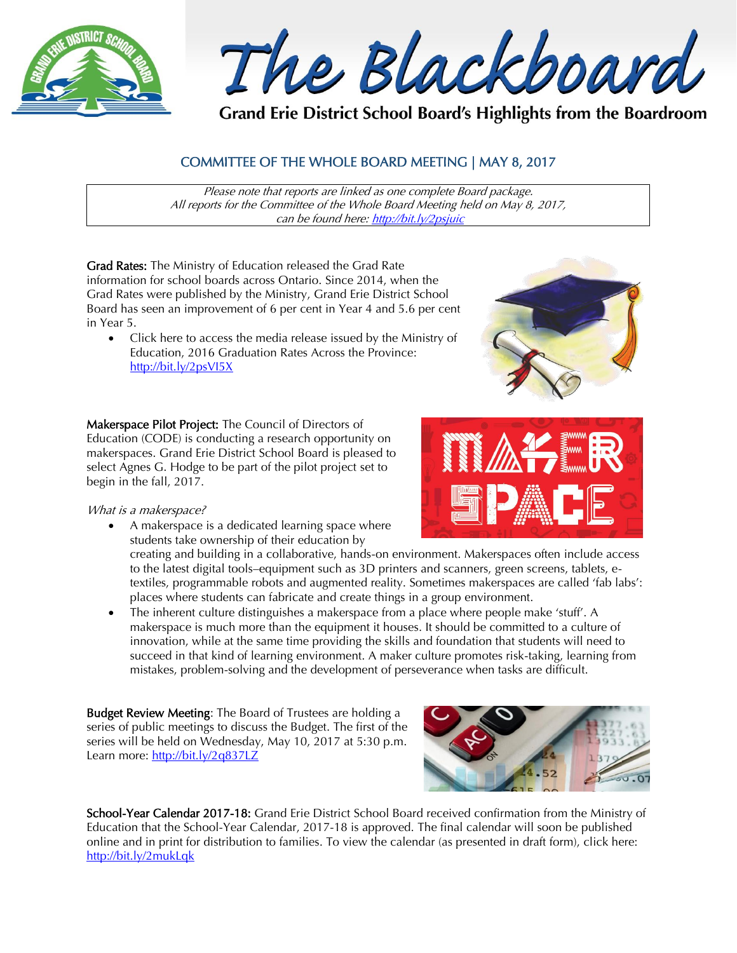

The Blackboard

Grand Erie District School Board's Highlights from the Boardroom

# COMMITTEE OF THE WHOLE BOARD MEETING | MAY 8, 2017

Please note that reports are linked as one complete Board package. All reports for the Committee of the Whole Board Meeting held on May 8, 2017, can be found here:<http://bit.ly/2psjuic>

Grad Rates: The Ministry of Education released the Grad Rate information for school boards across Ontario. Since 2014, when the Grad Rates were published by the Ministry, Grand Erie District School Board has seen an improvement of 6 per cent in Year 4 and 5.6 per cent in Year 5.

 Click here to access the media release issued by the Ministry of Education, 2016 Graduation Rates Across the Province: <http://bit.ly/2psVI5X>

Makerspace Pilot Project: The Council of Directors of Education (CODE) is conducting a research opportunity on makerspaces. Grand Erie District School Board is pleased to select Agnes G. Hodge to be part of the pilot project set to begin in the fall, 2017.

What is a makerspace?

 A makerspace is a dedicated learning space where students take ownership of their education by

creating and building in a collaborative, hands-on environment. Makerspaces often include access to the latest digital tools–equipment such as 3D printers and scanners, green screens, tablets, etextiles, programmable robots and augmented reality. Sometimes makerspaces are called 'fab labs': places where students can fabricate and create things in a group environment.

 The inherent culture distinguishes a makerspace from a place where people make 'stuff'. A makerspace is much more than the equipment it houses. It should be committed to a culture of innovation, while at the same time providing the skills and foundation that students will need to succeed in that kind of learning environment. A maker culture promotes risk-taking, learning from mistakes, problem-solving and the development of perseverance when tasks are difficult.

Budget Review Meeting: The Board of Trustees are holding a series of public meetings to discuss the Budget. The first of the series will be held on Wednesday, May 10, 2017 at 5:30 p.m. Learn more: <http://bit.ly/2q837LZ>



School-Year Calendar 2017-18: Grand Erie District School Board received confirmation from the Ministry of Education that the School-Year Calendar, 2017-18 is approved. The final calendar will soon be published online and in print for distribution to families. To view the calendar (as presented in draft form), click here: <http://bit.ly/2mukLqk>



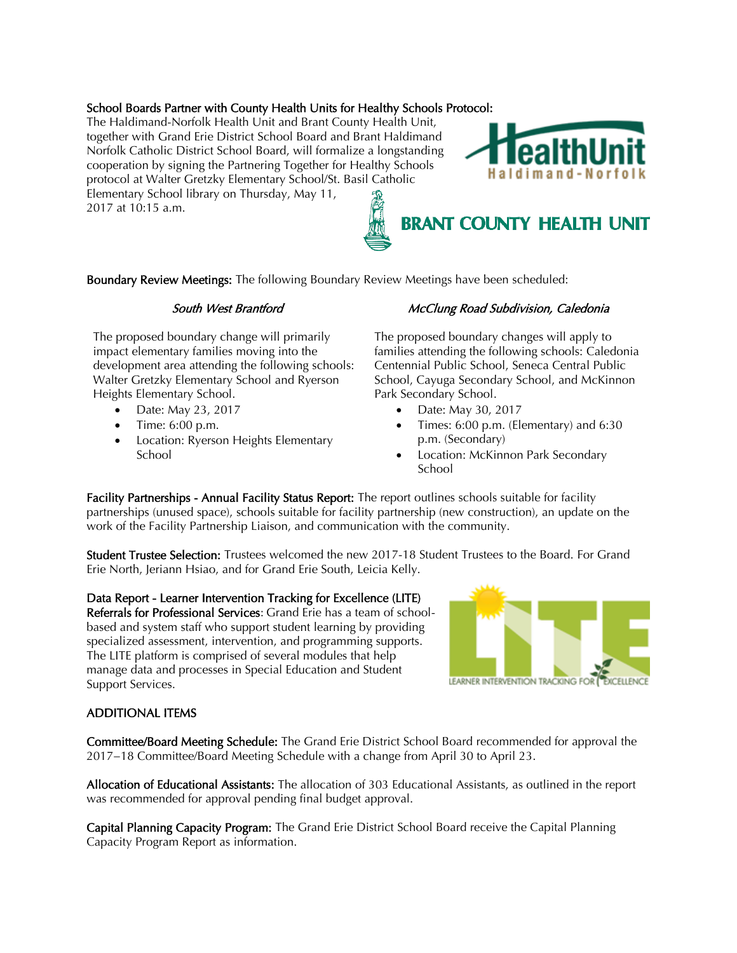## School Boards Partner with County Health Units for Healthy Schools Protocol:

The Haldimand-Norfolk Health Unit and Brant County Health Unit, together with Grand Erie District School Board and Brant Haldimand Norfolk Catholic District School Board, will formalize a longstanding cooperation by signing the Partnering Together for Healthy Schools protocol at Walter Gretzky Elementary School/St. Basil Catholic Elementary School library on Thursday, May 11,

2017 at 10:15 a.m.

Boundary Review Meetings: The following Boundary Review Meetings have been scheduled:

#### South West Brantford

The proposed boundary change will primarily impact elementary families moving into the development area attending the following schools: Walter Gretzky Elementary School and Ryerson Heights Elementary School.

- Date: May 23, 2017
- Time: 6:00 p.m.
- Location: Ryerson Heights Elementary **School**

## McClung Road Subdivision, Caledonia

The proposed boundary changes will apply to families attending the following schools: Caledonia Centennial Public School, Seneca Central Public School, Cayuga Secondary School, and McKinnon Park Secondary School.

- Date: May 30, 2017
- Times: 6:00 p.m. (Elementary) and 6:30 p.m. (Secondary)
- Location: McKinnon Park Secondary School

Facility Partnerships - Annual Facility Status Report: The report outlines schools suitable for facility partnerships (unused space), schools suitable for facility partnership (new construction), an update on the work of the Facility Partnership Liaison, and communication with the community.

Student Trustee Selection: Trustees welcomed the new 2017-18 Student Trustees to the Board. For Grand Erie North, Jeriann Hsiao, and for Grand Erie South, Leicia Kelly.

Data Report - Learner Intervention Tracking for Excellence (LITE) Referrals for Professional Services: Grand Erie has a team of schoolbased and system staff who support student learning by providing specialized assessment, intervention, and programming supports. The LITE platform is comprised of several modules that help manage data and processes in Special Education and Student Support Services.



#### ADDITIONAL ITEMS

Committee/Board Meeting Schedule: The Grand Erie District School Board recommended for approval the 2017−18 Committee/Board Meeting Schedule with a change from April 30 to April 23.

Allocation of Educational Assistants: The allocation of 303 Educational Assistants, as outlined in the report was recommended for approval pending final budget approval.

Capital Planning Capacity Program: The Grand Erie District School Board receive the Capital Planning Capacity Program Report as information.



**BRANT COUNTY HEALTH UNIT**